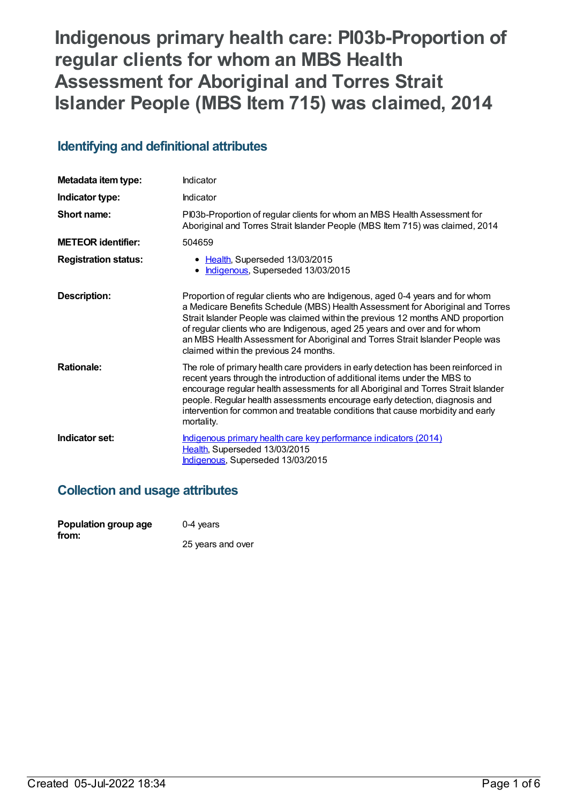# **Indigenous primary health care: PI03b-Proportion of regular clients for whom an MBS Health Assessment for Aboriginal and Torres Strait Islander People (MBS Item 715) was claimed, 2014**

## **Identifying and definitional attributes**

| Metadata item type:         | Indicator                                                                                                                                                                                                                                                                                                                                                                                                                                                   |
|-----------------------------|-------------------------------------------------------------------------------------------------------------------------------------------------------------------------------------------------------------------------------------------------------------------------------------------------------------------------------------------------------------------------------------------------------------------------------------------------------------|
| Indicator type:             | Indicator                                                                                                                                                                                                                                                                                                                                                                                                                                                   |
| Short name:                 | PI03b-Proportion of regular clients for whom an MBS Health Assessment for<br>Aboriginal and Torres Strait Islander People (MBS Item 715) was claimed, 2014                                                                                                                                                                                                                                                                                                  |
| <b>METEOR identifier:</b>   | 504659                                                                                                                                                                                                                                                                                                                                                                                                                                                      |
| <b>Registration status:</b> | • Health, Superseded 13/03/2015<br>• Indigenous, Superseded 13/03/2015                                                                                                                                                                                                                                                                                                                                                                                      |
| Description:                | Proportion of regular clients who are Indigenous, aged 0-4 years and for whom<br>a Medicare Benefits Schedule (MBS) Health Assessment for Aboriginal and Torres<br>Strait Islander People was claimed within the previous 12 months AND proportion<br>of regular clients who are Indigenous, aged 25 years and over and for whom<br>an MBS Health Assessment for Aboriginal and Torres Strait Islander People was<br>claimed within the previous 24 months. |
| <b>Rationale:</b>           | The role of primary health care providers in early detection has been reinforced in<br>recent years through the introduction of additional items under the MBS to<br>encourage regular health assessments for all Aboriginal and Torres Strait Islander<br>people. Regular health assessments encourage early detection, diagnosis and<br>intervention for common and treatable conditions that cause morbidity and early<br>mortality.                     |
| Indicator set:              | Indigenous primary health care key performance indicators (2014)<br>Health, Superseded 13/03/2015<br>Indigenous, Superseded 13/03/2015                                                                                                                                                                                                                                                                                                                      |

## **Collection and usage attributes**

| Population group age | $0-4$ years       |
|----------------------|-------------------|
| from:                | 25 years and over |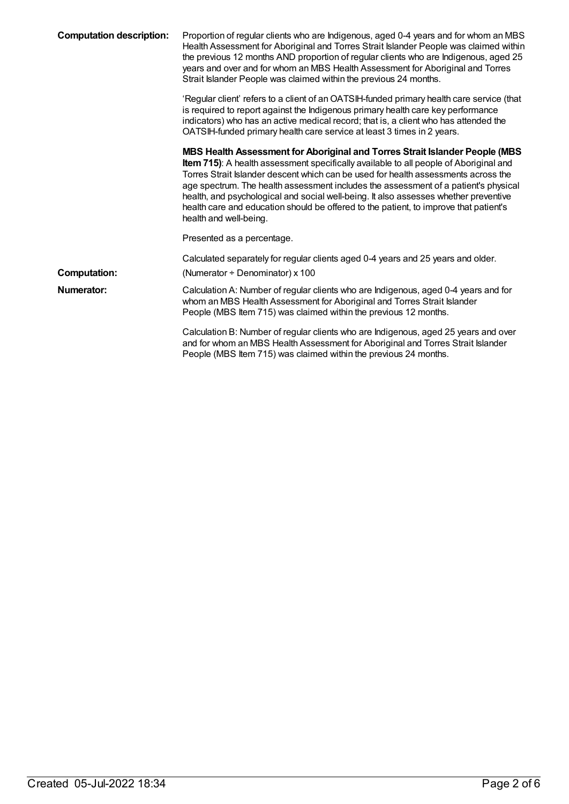| <b>Computation description:</b> | Proportion of regular clients who are Indigenous, aged 0-4 years and for whom an MBS<br>Health Assessment for Aboriginal and Torres Strait Islander People was claimed within<br>the previous 12 months AND proportion of regular clients who are Indigenous, aged 25<br>years and over and for whom an MBS Health Assessment for Aboriginal and Torres<br>Strait Islander People was claimed within the previous 24 months.                                                                                                                                 |
|---------------------------------|--------------------------------------------------------------------------------------------------------------------------------------------------------------------------------------------------------------------------------------------------------------------------------------------------------------------------------------------------------------------------------------------------------------------------------------------------------------------------------------------------------------------------------------------------------------|
|                                 | 'Regular client' refers to a client of an OATSIH-funded primary health care service (that<br>is required to report against the Indigenous primary health care key performance<br>indicators) who has an active medical record; that is, a client who has attended the<br>OATSIH-funded primary health care service at least 3 times in 2 years.                                                                                                                                                                                                              |
|                                 | MBS Health Assessment for Aboriginal and Torres Strait Islander People (MBS<br>Item 715): A health assessment specifically available to all people of Aboriginal and<br>Torres Strait Islander descent which can be used for health assessments across the<br>age spectrum. The health assessment includes the assessment of a patient's physical<br>health, and psychological and social well-being. It also assesses whether preventive<br>health care and education should be offered to the patient, to improve that patient's<br>health and well-being. |
|                                 | Presented as a percentage.                                                                                                                                                                                                                                                                                                                                                                                                                                                                                                                                   |
|                                 | Calculated separately for regular clients aged 0-4 years and 25 years and older.                                                                                                                                                                                                                                                                                                                                                                                                                                                                             |
| <b>Computation:</b>             | (Numerator $\div$ Denominator) x 100                                                                                                                                                                                                                                                                                                                                                                                                                                                                                                                         |
| Numerator:                      | Calculation A: Number of regular clients who are Indigenous, aged 0-4 years and for<br>whom an MBS Health Assessment for Aboriginal and Torres Strait Islander<br>People (MBS Item 715) was claimed within the previous 12 months.                                                                                                                                                                                                                                                                                                                           |
|                                 | Calculation B: Number of regular clients who are Indigenous, aged 25 years and over<br>and for whom an MBS Health Assessment for Aboriginal and Torres Strait Islander<br>People (MBS Item 715) was claimed within the previous 24 months.                                                                                                                                                                                                                                                                                                                   |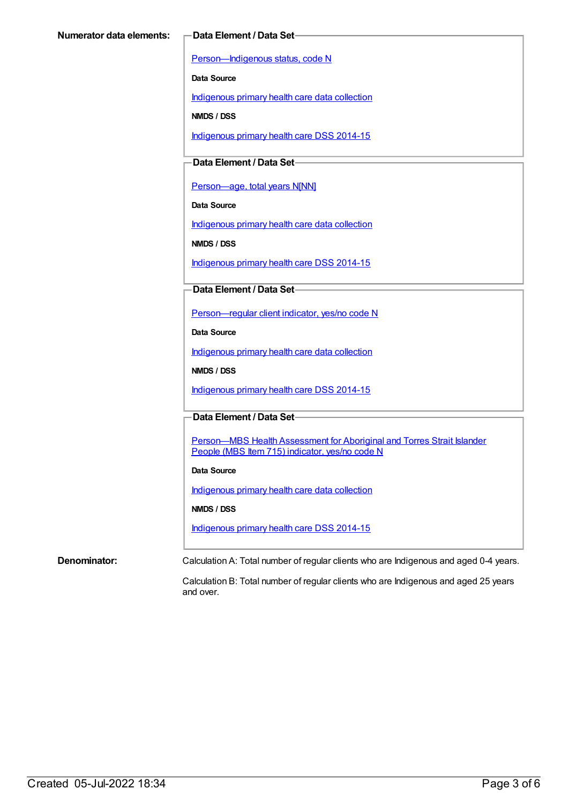[Person—Indigenous](https://meteor.aihw.gov.au/content/291036) status, code N

**Data Source**

[Indigenous](https://meteor.aihw.gov.au/content/430643) primary health care data collection

**NMDS / DSS**

[Indigenous](https://meteor.aihw.gov.au/content/504325) primary health care DSS 2014-15

**Data Element / Data Set**

[Person—age,](https://meteor.aihw.gov.au/content/303794) total years N[NN]

**Data Source**

[Indigenous](https://meteor.aihw.gov.au/content/430643) primary health care data collection

**NMDS / DSS**

[Indigenous](https://meteor.aihw.gov.au/content/504325) primary health care DSS 2014-15

**Data Element / Data Set**

[Person—regular](https://meteor.aihw.gov.au/content/436639) client indicator, yes/no code N

**Data Source**

[Indigenous](https://meteor.aihw.gov.au/content/430643) primary health care data collection

**NMDS / DSS**

[Indigenous](https://meteor.aihw.gov.au/content/504325) primary health care DSS 2014-15

**Data Element / Data Set**

Person-MBS Health Assessment for Aboriginal and Torres Strait Islander People (MBS Item 715) indicator, yes/no code N

### **Data Source**

[Indigenous](https://meteor.aihw.gov.au/content/430643) primary health care data collection

**NMDS / DSS**

[Indigenous](https://meteor.aihw.gov.au/content/504325) primary health care DSS 2014-15

**Denominator:** Calculation A: Total number of regular clients who are Indigenous and aged 0-4 years.

Calculation B: Total number of regular clients who are Indigenous and aged 25 years and over.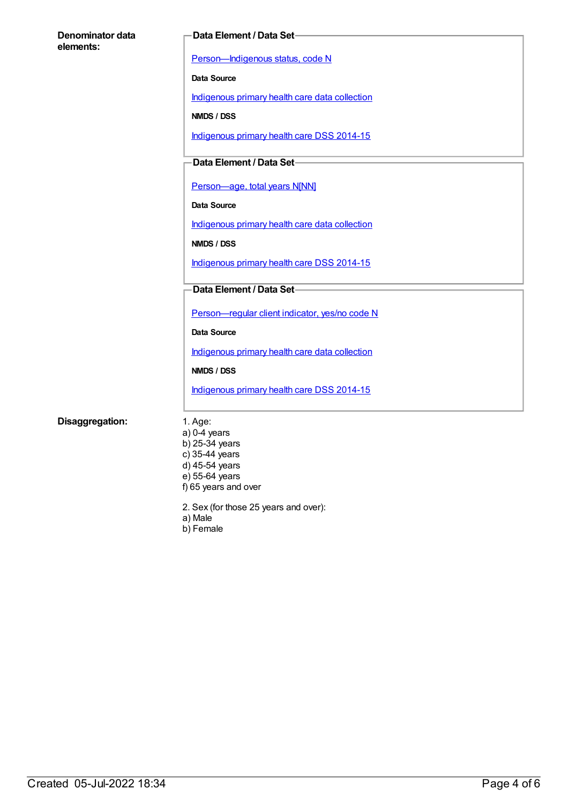| Denominator data | Data Element / Data Set-                       |
|------------------|------------------------------------------------|
| elements:        |                                                |
|                  | Person-Indigenous status, code N               |
|                  | Data Source                                    |
|                  | Indigenous primary health care data collection |
|                  | NMDS / DSS                                     |
|                  | Indigenous primary health care DSS 2014-15     |
|                  | Data Element / Data Set-                       |
|                  |                                                |
|                  | Person-age, total years N[NN]                  |
|                  | Data Source                                    |
|                  | Indigenous primary health care data collection |
|                  | NMDS / DSS                                     |
|                  | Indigenous primary health care DSS 2014-15     |
|                  | Data Element / Data Set-                       |
|                  |                                                |
|                  | Person-regular client indicator, yes/no code N |
|                  | Data Source                                    |
|                  | Indigenous primary health care data collection |
|                  | NMDS / DSS                                     |
|                  | Indigenous primary health care DSS 2014-15     |
|                  |                                                |
| Disaggregation:  | 1. Age:<br>$a)$ 0-4 years                      |
|                  | b) 25-34 years                                 |
|                  | c) 35-44 years                                 |
|                  | d) 45-54 years                                 |

2. Sex (for those 25 years and over):

a) Male

e) 55-64 years f) 65 years and over

b) Female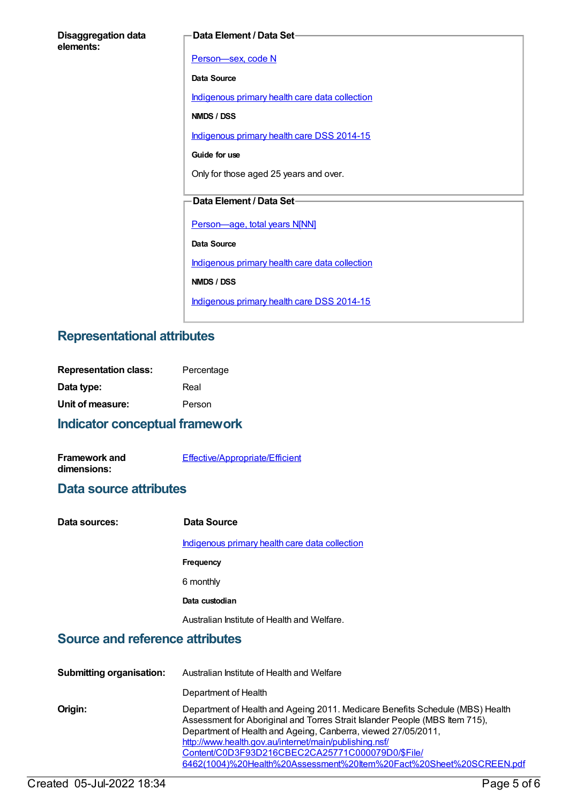| <b>Disaggregation data</b> |  |
|----------------------------|--|
| elements:                  |  |

#### **Data Element / Data Set**

[Person—sex,](https://meteor.aihw.gov.au/content/287316) code N **Data Source** [Indigenous](https://meteor.aihw.gov.au/content/430643) primary health care data collection **NMDS / DSS** [Indigenous](https://meteor.aihw.gov.au/content/504325) primary health care DSS 2014-15 **Guide for use** Only for those aged 25 years and over. **Data Element / Data Set** [Person—age,](https://meteor.aihw.gov.au/content/303794) total years N[NN] **Data Source** [Indigenous](https://meteor.aihw.gov.au/content/430643) primary health care data collection **NMDS / DSS** [Indigenous](https://meteor.aihw.gov.au/content/504325) primary health care DSS 2014-15

## **Representational attributes**

| <b>Representation class:</b> | Percentage |
|------------------------------|------------|
| Data type:                   | Real       |
| Unit of measure:             | Person     |

## **Indicator conceptual framework**

| <b>Framework and</b> | <b>Effective/Appropriate/Efficient</b> |
|----------------------|----------------------------------------|
| dimensions:          |                                        |

### **Data source attributes**

| Data sources: | Data Source                                    |
|---------------|------------------------------------------------|
|               | Indigenous primary health care data collection |
|               | <b>Frequency</b>                               |
|               | 6 monthly                                      |
|               | Data custodian                                 |
|               | Australian Institute of Health and Welfare.    |

## **Source and reference attributes**

| <b>Submitting organisation:</b> | Australian Institute of Health and Welfare                                                                                                                                                                                                                                                                                                                                                                         |
|---------------------------------|--------------------------------------------------------------------------------------------------------------------------------------------------------------------------------------------------------------------------------------------------------------------------------------------------------------------------------------------------------------------------------------------------------------------|
|                                 | Department of Health                                                                                                                                                                                                                                                                                                                                                                                               |
| Origin:                         | Department of Health and Ageing 2011. Medicare Benefits Schedule (MBS) Health<br>Assessment for Aboriginal and Torres Strait Islander People (MBS Item 715),<br>Department of Health and Ageing, Canberra, viewed 27/05/2011,<br>http://www.health.gov.au/internet/main/publishing.nsf/<br>Content/C0D3F93D216CBEC2CA25771C000079D0/\$File/<br>6462(1004)%20Health%20Assessment%20ttem%20Fact%20Sheet%20SCREEN.pdf |